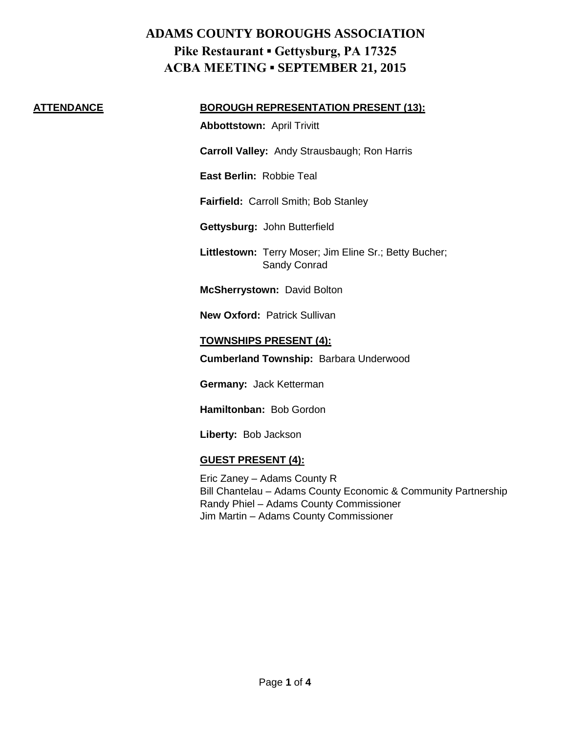#### **ATTENDANCE BOROUGH REPRESENTATION PRESENT (13):**

**Abbottstown:** April Trivitt

**Carroll Valley:** Andy Strausbaugh; Ron Harris

**East Berlin:** Robbie Teal

**Fairfield:** Carroll Smith; Bob Stanley

**Gettysburg:** John Butterfield

**Littlestown:** Terry Moser; Jim Eline Sr.; Betty Bucher; Sandy Conrad

**McSherrystown:** David Bolton

**New Oxford:** Patrick Sullivan

### **TOWNSHIPS PRESENT (4):**

**Cumberland Township:** Barbara Underwood

**Germany:** Jack Ketterman

**Hamiltonban:** Bob Gordon

**Liberty:** Bob Jackson

## **GUEST PRESENT (4):**

Eric Zaney – Adams County R Bill Chantelau – Adams County Economic & Community Partnership Randy Phiel – Adams County Commissioner Jim Martin – Adams County Commissioner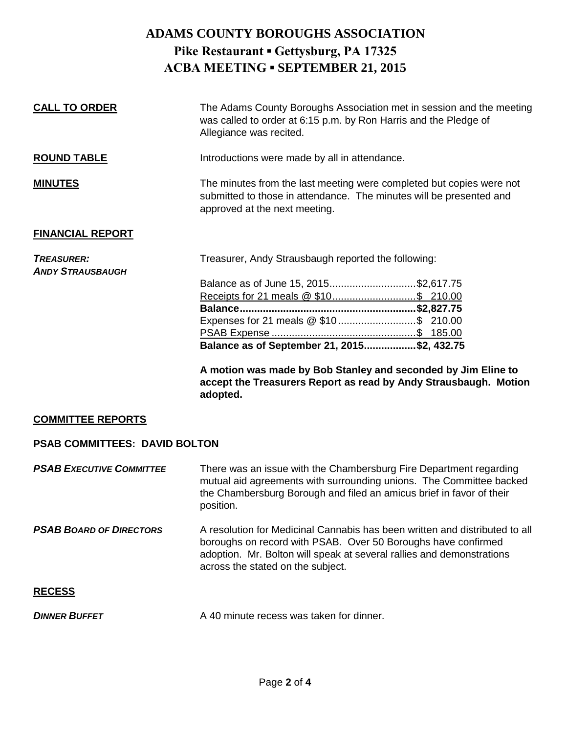| <b>CALL TO ORDER</b>                         | The Adams County Boroughs Association met in session and the meeting<br>was called to order at 6:15 p.m. by Ron Harris and the Pledge of<br>Allegiance was recited.          |
|----------------------------------------------|------------------------------------------------------------------------------------------------------------------------------------------------------------------------------|
| <b>ROUND TABLE</b>                           | Introductions were made by all in attendance.                                                                                                                                |
| <b>MINUTES</b>                               | The minutes from the last meeting were completed but copies were not<br>submitted to those in attendance. The minutes will be presented and<br>approved at the next meeting. |
| <b>FINANCIAL REPORT</b>                      |                                                                                                                                                                              |
| <b>TREASURER:</b><br><b>ANDY STRAUSBAUGH</b> | Treasurer, Andy Strausbaugh reported the following:                                                                                                                          |
|                                              | Balance as of June 15, 2015\$2,617.75                                                                                                                                        |
|                                              |                                                                                                                                                                              |
|                                              |                                                                                                                                                                              |
|                                              |                                                                                                                                                                              |
|                                              |                                                                                                                                                                              |
|                                              | Balance as of September 21, 2015\$2, 432.75                                                                                                                                  |
|                                              | A motion was made by Bob Stanley and seconded by Jim Eline to                                                                                                                |

**accept the Treasurers Report as read by Andy Strausbaugh. Motion adopted.**

### **COMMITTEE REPORTS**

### **PSAB COMMITTEES: DAVID BOLTON**

**PSAB EXECUTIVE COMMITTEE** There was an issue with the Chambersburg Fire Department regarding mutual aid agreements with surrounding unions. The Committee backed the Chambersburg Borough and filed an amicus brief in favor of their position.

**PSAB BOARD OF DIRECTORS** A resolution for Medicinal Cannabis has been written and distributed to all boroughs on record with PSAB. Over 50 Boroughs have confirmed adoption. Mr. Bolton will speak at several rallies and demonstrations across the stated on the subject.

### **RECESS**

| <b>DINNER BUFFET</b><br>A 40 minute recess was taken for dinner. |  |  |
|------------------------------------------------------------------|--|--|
|------------------------------------------------------------------|--|--|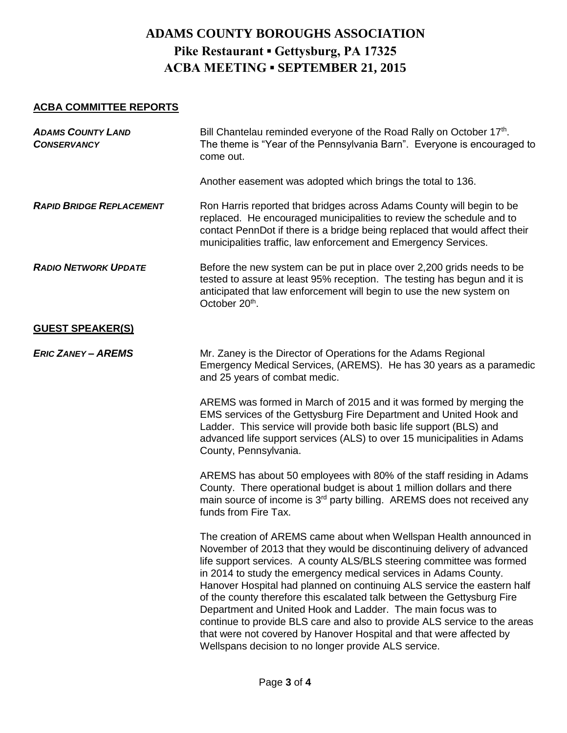## **ACBA COMMITTEE REPORTS**

| <b>ADAMS COUNTY LAND</b><br><b>CONSERVANCY</b> | Bill Chantelau reminded everyone of the Road Rally on October 17th.<br>The theme is "Year of the Pennsylvania Barn". Everyone is encouraged to<br>come out.                                                                                                                                                                                                                                                                                                                                                                                                                                                                                                                                                                 |
|------------------------------------------------|-----------------------------------------------------------------------------------------------------------------------------------------------------------------------------------------------------------------------------------------------------------------------------------------------------------------------------------------------------------------------------------------------------------------------------------------------------------------------------------------------------------------------------------------------------------------------------------------------------------------------------------------------------------------------------------------------------------------------------|
|                                                | Another easement was adopted which brings the total to 136.                                                                                                                                                                                                                                                                                                                                                                                                                                                                                                                                                                                                                                                                 |
| <b>RAPID BRIDGE REPLACEMENT</b>                | Ron Harris reported that bridges across Adams County will begin to be<br>replaced. He encouraged municipalities to review the schedule and to<br>contact PennDot if there is a bridge being replaced that would affect their<br>municipalities traffic, law enforcement and Emergency Services.                                                                                                                                                                                                                                                                                                                                                                                                                             |
| <b>RADIO NETWORK UPDATE</b>                    | Before the new system can be put in place over 2,200 grids needs to be<br>tested to assure at least 95% reception. The testing has begun and it is<br>anticipated that law enforcement will begin to use the new system on<br>October 20th.                                                                                                                                                                                                                                                                                                                                                                                                                                                                                 |
| <b>GUEST SPEAKER(S)</b>                        |                                                                                                                                                                                                                                                                                                                                                                                                                                                                                                                                                                                                                                                                                                                             |
| <b>ERIC ZANEY - AREMS</b>                      | Mr. Zaney is the Director of Operations for the Adams Regional<br>Emergency Medical Services, (AREMS). He has 30 years as a paramedic<br>and 25 years of combat medic.                                                                                                                                                                                                                                                                                                                                                                                                                                                                                                                                                      |
|                                                | AREMS was formed in March of 2015 and it was formed by merging the<br>EMS services of the Gettysburg Fire Department and United Hook and<br>Ladder. This service will provide both basic life support (BLS) and<br>advanced life support services (ALS) to over 15 municipalities in Adams<br>County, Pennsylvania.                                                                                                                                                                                                                                                                                                                                                                                                         |
|                                                | AREMS has about 50 employees with 80% of the staff residing in Adams<br>County. There operational budget is about 1 million dollars and there<br>main source of income is 3 <sup>rd</sup> party billing. AREMS does not received any<br>funds from Fire Tax.                                                                                                                                                                                                                                                                                                                                                                                                                                                                |
|                                                | The creation of AREMS came about when Wellspan Health announced in<br>November of 2013 that they would be discontinuing delivery of advanced<br>life support services. A county ALS/BLS steering committee was formed<br>in 2014 to study the emergency medical services in Adams County.<br>Hanover Hospital had planned on continuing ALS service the eastern half<br>of the county therefore this escalated talk between the Gettysburg Fire<br>Department and United Hook and Ladder. The main focus was to<br>continue to provide BLS care and also to provide ALS service to the areas<br>that were not covered by Hanover Hospital and that were affected by<br>Wellspans decision to no longer provide ALS service. |